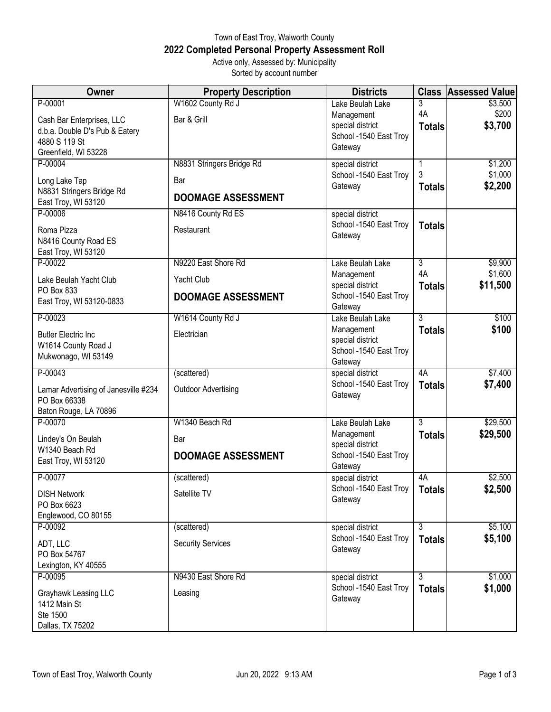## Town of East Troy, Walworth County **2022 Completed Personal Property Assessment Roll** Active only, Assessed by: Municipality

Sorted by account number

| <b>Owner</b>                         | <b>Property Description</b> | <b>Districts</b>                           |                | <b>Class Assessed Value</b> |
|--------------------------------------|-----------------------------|--------------------------------------------|----------------|-----------------------------|
| P-00001                              | W1602 County Rd J           | Lake Beulah Lake                           | 3              | \$3,500                     |
| Cash Bar Enterprises, LLC            | Bar & Grill                 | Management                                 | 4A             | \$200                       |
| d.b.a. Double D's Pub & Eatery       |                             | special district                           | <b>Totals</b>  | \$3,700                     |
| 4880 S 119 St                        |                             | School -1540 East Troy                     |                |                             |
| Greenfield, WI 53228                 |                             | Gateway                                    |                |                             |
| P-00004                              | N8831 Stringers Bridge Rd   | special district                           | 1              | \$1,200                     |
| Long Lake Tap                        | Bar                         | School -1540 East Troy                     | 3              | \$1,000                     |
| N8831 Stringers Bridge Rd            | <b>DOOMAGE ASSESSMENT</b>   | Gateway                                    | <b>Totals</b>  | \$2,200                     |
| East Troy, WI 53120                  |                             |                                            |                |                             |
| P-00006                              | N8416 County Rd ES          | special district                           |                |                             |
| Roma Pizza                           | Restaurant                  | School -1540 East Troy<br>Gateway          | <b>Totals</b>  |                             |
| N8416 County Road ES                 |                             |                                            |                |                             |
| East Troy, WI 53120                  |                             |                                            |                |                             |
| P-00022                              | N9220 East Shore Rd         | Lake Beulah Lake                           | $\overline{3}$ | \$9,900                     |
| Lake Beulah Yacht Club               | Yacht Club                  | Management<br>special district             | 4A             | \$1,600                     |
| PO Box 833                           | <b>DOOMAGE ASSESSMENT</b>   | School -1540 East Troy                     | <b>Totals</b>  | \$11,500                    |
| East Troy, WI 53120-0833             |                             | Gateway                                    |                |                             |
| P-00023                              | W1614 County Rd J           | Lake Beulah Lake                           | $\overline{3}$ | \$100                       |
| <b>Butler Electric Inc</b>           | Electrician                 | Management                                 | <b>Totals</b>  | \$100                       |
| W1614 County Road J                  |                             | special district                           |                |                             |
| Mukwonago, WI 53149                  |                             | School -1540 East Troy                     |                |                             |
|                                      |                             | Gateway                                    |                |                             |
| P-00043                              | (scattered)                 | special district<br>School -1540 East Troy | 4A             | \$7,400                     |
| Lamar Advertising of Janesville #234 | <b>Outdoor Advertising</b>  | Gateway                                    | <b>Totals</b>  | \$7,400                     |
| PO Box 66338                         |                             |                                            |                |                             |
| Baton Rouge, LA 70896                |                             |                                            |                |                             |
| P-00070                              | W1340 Beach Rd              | Lake Beulah Lake                           | $\overline{3}$ | \$29,500                    |
| Lindey's On Beulah                   | Bar                         | Management<br>special district             | <b>Totals</b>  | \$29,500                    |
| W1340 Beach Rd                       | <b>DOOMAGE ASSESSMENT</b>   | School - 1540 East Troy                    |                |                             |
| East Troy, WI 53120                  |                             | Gateway                                    |                |                             |
| P-00077                              | (scattered)                 | special district                           | 4A             | \$2,500                     |
| <b>DISH Network</b>                  | Satellite TV                | School - 1540 East Troy                    | <b>Totals</b>  | \$2,500                     |
| PO Box 6623                          |                             | Gateway                                    |                |                             |
| Englewood, CO 80155                  |                             |                                            |                |                             |
| P-00092                              | (scattered)                 | special district                           | $\overline{3}$ | \$5,100                     |
| ADT, LLC                             | <b>Security Services</b>    | School -1540 East Troy                     | <b>Totals</b>  | \$5,100                     |
| PO Box 54767                         |                             | Gateway                                    |                |                             |
| Lexington, KY 40555                  |                             |                                            |                |                             |
| P-00095                              | N9430 East Shore Rd         | special district                           | $\overline{3}$ | \$1,000                     |
| Grayhawk Leasing LLC                 | Leasing                     | School -1540 East Troy                     | <b>Totals</b>  | \$1,000                     |
| 1412 Main St                         |                             | Gateway                                    |                |                             |
| Ste 1500                             |                             |                                            |                |                             |
| Dallas, TX 75202                     |                             |                                            |                |                             |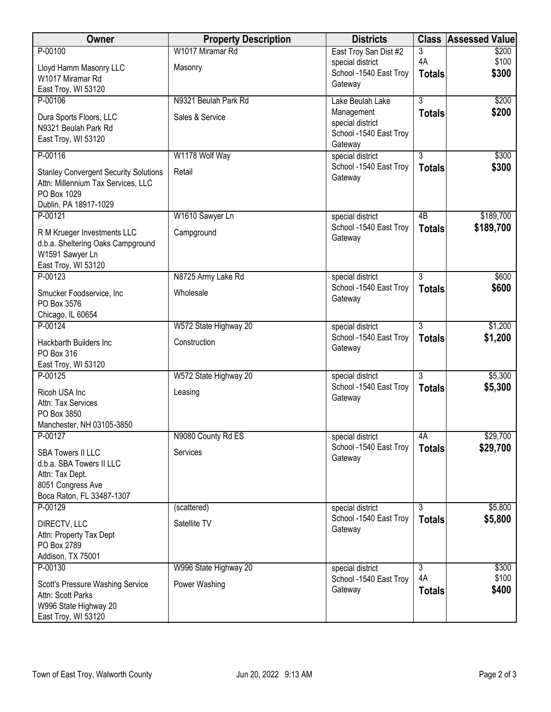| Owner                                                                                                                      | <b>Property Description</b>             | <b>Districts</b>                                                                        |                                 | <b>Class Assessed Value</b> |
|----------------------------------------------------------------------------------------------------------------------------|-----------------------------------------|-----------------------------------------------------------------------------------------|---------------------------------|-----------------------------|
| P-00100<br>Lloyd Hamm Masonry LLC<br>W1017 Miramar Rd                                                                      | W1017 Miramar Rd<br>Masonry             | East Troy San Dist #2<br>special district<br>School - 1540 East Troy<br>Gateway         | 3<br>4A<br><b>Totals</b>        | \$200<br>\$100<br>\$300     |
| East Troy, WI 53120                                                                                                        |                                         |                                                                                         |                                 |                             |
| P-00106<br>Dura Sports Floors, LLC<br>N9321 Beulah Park Rd<br>East Troy, WI 53120                                          | N9321 Beulah Park Rd<br>Sales & Service | Lake Beulah Lake<br>Management<br>special district<br>School -1540 East Troy<br>Gateway | $\overline{3}$<br><b>Totals</b> | \$200<br>\$200              |
| P-00116                                                                                                                    | W1178 Wolf Way                          | special district                                                                        | $\overline{3}$                  | \$300                       |
| <b>Stanley Convergent Security Solutions</b><br>Attn: Millennium Tax Services, LLC<br>PO Box 1029<br>Dublin, PA 18917-1029 | Retail                                  | School -1540 East Troy<br>Gateway                                                       | <b>Totals</b>                   | \$300                       |
| P-00121                                                                                                                    | W1610 Sawyer Ln                         | special district                                                                        | 4B                              | \$189,700                   |
| R M Krueger Investments LLC<br>d.b.a. Sheltering Oaks Campground<br>W1591 Sawyer Ln<br>East Troy, WI 53120                 | Campground                              | School -1540 East Troy<br>Gateway                                                       | <b>Totals</b>                   | \$189,700                   |
| P-00123                                                                                                                    | N8725 Army Lake Rd                      | special district                                                                        | $\overline{3}$                  | \$600                       |
| Smucker Foodservice, Inc<br>PO Box 3576<br>Chicago, IL 60654                                                               | Wholesale                               | School -1540 East Troy<br>Gateway                                                       | <b>Totals</b>                   | \$600                       |
| P-00124                                                                                                                    | W572 State Highway 20                   | special district                                                                        | $\overline{3}$                  | \$1,200                     |
| Hackbarth Builders Inc<br>PO Box 316<br>East Troy, WI 53120                                                                | Construction                            | School -1540 East Troy<br>Gateway                                                       | <b>Totals</b>                   | \$1,200                     |
| P-00125                                                                                                                    | W572 State Highway 20                   | special district                                                                        | $\overline{3}$                  | \$5,300                     |
| Ricoh USA Inc<br>Attn: Tax Services<br>PO Box 3850<br>Manchester, NH 03105-3850                                            | Leasing                                 | School -1540 East Troy<br>Gateway                                                       | <b>Totals</b>                   | \$5,300                     |
| P-00127                                                                                                                    | N9080 County Rd ES                      | special district                                                                        | 4A                              | \$29,700                    |
| <b>SBA Towers II LLC</b><br>d.b.a. SBA Towers II LLC<br>Attn: Tax Dept.<br>8051 Congress Ave<br>Boca Raton, FL 33487-1307  | Services                                | School -1540 East Troy<br>Gateway                                                       | <b>Totals</b>                   | \$29,700                    |
| P-00129                                                                                                                    | (scattered)                             | special district                                                                        | $\overline{3}$                  | \$5,800                     |
| DIRECTV, LLC<br>Attn: Property Tax Dept<br>PO Box 2789<br>Addison, TX 75001                                                | Satellite TV                            | School -1540 East Troy<br>Gateway                                                       | <b>Totals</b>                   | \$5,800                     |
| P-00130                                                                                                                    | W996 State Highway 20                   | special district                                                                        | 3                               | \$300                       |
| Scott's Pressure Washing Service<br>Attn: Scott Parks<br>W996 State Highway 20<br>East Troy, WI 53120                      | Power Washing                           | School -1540 East Troy<br>Gateway                                                       | 4A<br><b>Totals</b>             | \$100<br>\$400              |